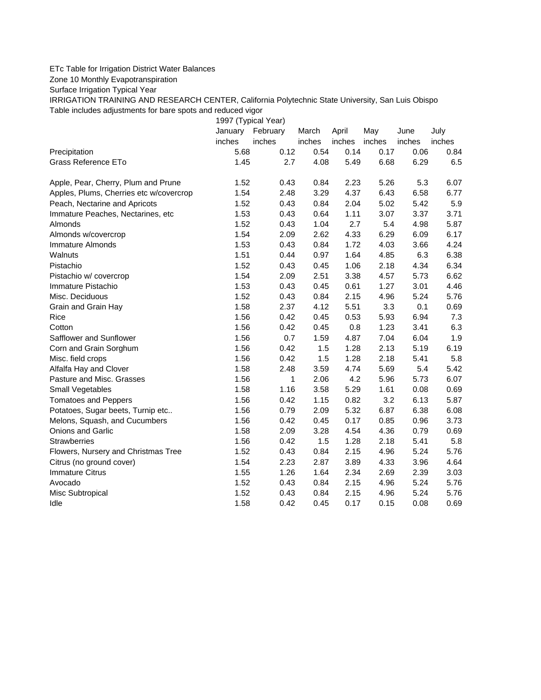## ETc Table for Irrigation District Water Balances

Zone 10 Monthly Evapotranspiration

Surface Irrigation Typical Year

IRRIGATION TRAINING AND RESEARCH CENTER, California Polytechnic State University, San Luis Obispo Table includes adjustments for bare spots and reduced vigor

1997 (Typical Year) January February March April May June July inches inches inches inches inches inches inches Precipitation 5.68 0.12 0.54 0.14 0.17 0.06 0.84 Grass Reference ETo **1.45** 2.7 4.08 5.49 6.68 6.29 6.5 Apple, Pear, Cherry, Plum and Prune 1.52 0.43 0.84 2.23 5.26 5.3 6.07 Apples, Plums, Cherries etc w/covercrop 1.54 2.48 3.29 4.37 6.43 6.58 6.77 Peach, Nectarine and Apricots 1.52 0.43 0.84 2.04 5.02 5.42 5.9 Immature Peaches, Nectarines, etc 1.53 0.43 0.64 1.11 3.07 3.37 3.71 Almonds 1.52 0.43 1.04 2.7 5.4 4.98 5.87 Almonds w/covercrop 1.54 2.09 2.62 4.33 6.29 6.09 6.17 Immature Almonds 1.53 0.43 0.84 1.72 4.03 3.66 4.24 Walnuts 1.51 0.44 0.97 1.64 4.85 6.3 6.38 Pistachio 1.52 0.43 0.45 1.06 2.18 4.34 6.34 Pistachio w/ covercrop 1.54 2.09 2.51 3.38 4.57 5.73 6.62 Immature Pistachio 1.53 0.43 0.45 0.61 1.27 3.01 4.46 Misc. Deciduous 1.52 0.43 0.84 2.15 4.96 5.24 5.76 Grain and Grain Hay 1.58 2.37 4.12 5.51 3.3 0.1 0.69 Rice 1.56 0.42 0.45 0.53 5.93 6.94 7.3 Cotton 1.56 0.42 0.45 0.8 1.23 3.41 6.3 Safflower and Sunflower 1.56 0.7 1.59 4.87 7.04 6.04 1.9 Corn and Grain Sorghum 1.56 0.42 1.5 1.28 2.13 5.19 6.19 Misc. field crops **1.56** 0.42 1.5 1.28 2.18 5.41 5.8 Alfalfa Hay and Clover 1.58 2.48 3.59 4.74 5.69 5.4 5.42 Pasture and Misc. Grasses 2.06 1 2.06 4.2 5.96 5.73 6.07 Small Vegetables 1.58 1.16 3.58 5.29 1.61 0.08 0.69 Tomatoes and Peppers 1.56 0.42 1.15 0.82 3.2 6.13 5.87 Potatoes, Sugar beets, Turnip etc.. 1.56 0.79 2.09 5.32 6.87 6.38 6.08 Melons, Squash, and Cucumbers 1.56 0.42 0.45 0.17 0.85 0.96 3.73 Onions and Garlic 1.58 2.09 3.28 4.54 4.36 0.79 0.69 Strawberries 1.56 0.42 1.5 1.28 2.18 5.41 5.8 Flowers, Nursery and Christmas Tree 1.52 0.43 0.84 2.15 4.96 5.24 5.76 Citrus (no ground cover) 1.54 2.23 2.87 3.89 4.33 3.96 4.64 Immature Citrus 1.55 1.26 1.64 2.34 2.69 2.39 3.03 Avocado 1.52 0.43 0.84 2.15 4.96 5.24 5.76 Misc Subtropical 1.52 0.43 0.84 2.15 4.96 5.24 5.76 Idle 1.58 0.42 0.45 0.17 0.15 0.08 0.69